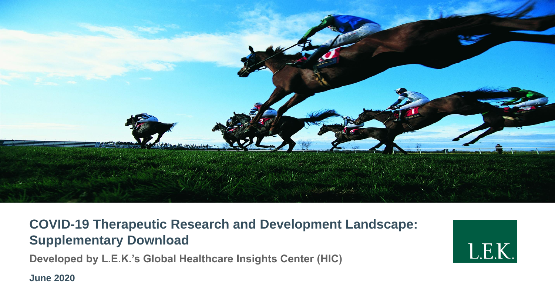

## **COVID-19 Therapeutic Research and Development Landscape: Supplementary Download**

**Developed by L.E.K.'s Global Healthcare Insights Center (HIC)**

**June 2020** 

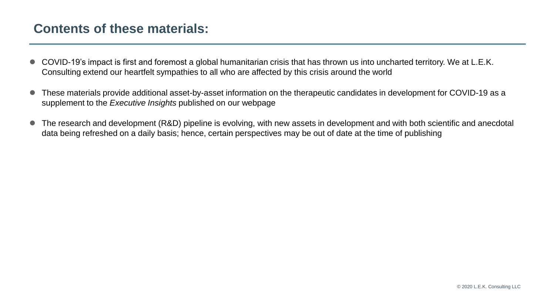## **Contents of these materials:**

- COVID-19's impact is first and foremost a global humanitarian crisis that has thrown us into uncharted territory. We at L.E.K. Consulting extend our heartfelt sympathies to all who are affected by this crisis around the world
- These materials provide additional asset-by-asset information on the therapeutic candidates in development for COVID-19 as a supplement to the *Executive Insights* published on our webpage
- The research and development (R&D) pipeline is evolving, with new assets in development and with both scientific and anecdotal data being refreshed on a daily basis; hence, certain perspectives may be out of date at the time of publishing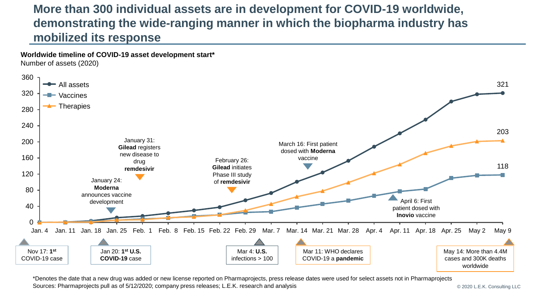## **More than 300 individual assets are in development for COVID-19 worldwide, demonstrating the wide-ranging manner in which the biopharma industry has mobilized its response**

**Worldwide timeline of COVID-19 asset development start\***

Number of assets (2020)



\*Denotes the date that a new drug was added or new license reported on Pharmaprojects, press release dates were used for select assets not in Pharmaprojects Sources: Pharmaprojects pull as of 5/12/2020; company press releases; L.E.K. research and analysis

© 2020 L.E.K. Consulting LLC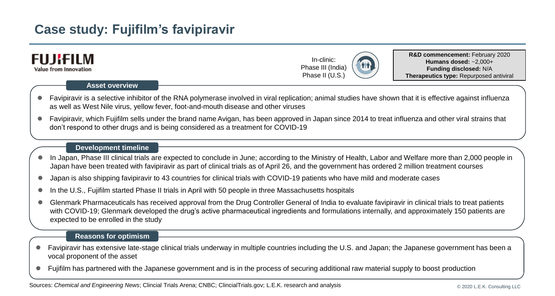# **Case study: Fujifilm's favipiravir**



- Favipiravir has extensive late-stage clinical trials underway in multiple countries including the U.S. and Japan; the Japanese government has been a vocal proponent of the asset
- Fujifilm has partnered with the Japanese government and is in the process of securing additional raw material supply to boost production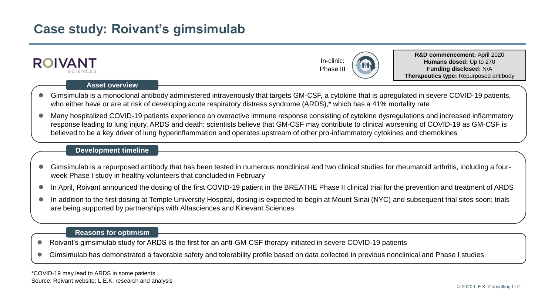## **Case study: Roivant's gimsimulab**



- Roivant's gimsimulab study for ARDS is the first for an anti-GM-CSF therapy initiated in severe COVID-19 patients
- Gimsimulab has demonstrated a favorable safety and tolerability profile based on data collected in previous nonclinical and Phase I studies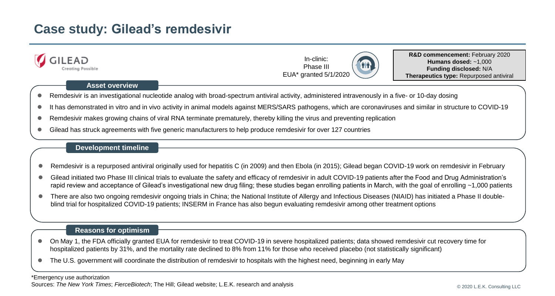# **Case study: Gilead's remdesivir**



### **Asset overview**

- Remdesivir is an investigational nucleotide analog with broad-spectrum antiviral activity, administered intravenously in a five- or 10-day dosing
- It has demonstrated in vitro and in vivo activity in animal models against MERS/SARS pathogens, which are coronaviruses and similar in structure to COVID-19
- Remdesivir makes growing chains of viral RNA terminate prematurely, thereby killing the virus and preventing replication
- Gilead has struck agreements with five generic manufacturers to help produce remdesivir for over 127 countries

### **Development timeline**

- Remdesivir is a repurposed antiviral originally used for hepatitis C (in 2009) and then Ebola (in 2015); Gilead began COVID-19 work on remdesivir in February
- Gilead initiated two Phase III clinical trials to evaluate the safety and efficacy of remdesivir in adult COVID-19 patients after the Food and Drug Administration's rapid review and acceptance of Gilead's investigational new drug filing; these studies began enrolling patients in March, with the goal of enrolling ~1,000 patients
- There are also two ongoing remdesivir ongoing trials in China; the National Institute of Allergy and Infectious Diseases (NIAID) has initiated a Phase II doubleblind trial for hospitalized COVID-19 patients; INSERM in France has also begun evaluating remdesivir among other treatment options

### **Reasons for optimism**

- On May 1, the FDA officially granted EUA for remdesivir to treat COVID-19 in severe hospitalized patients; data showed remdesivir cut recovery time for hospitalized patients by 31%, and the mortality rate declined to 8% from 11% for those who received placebo (not statistically significant)
- The U.S. government will coordinate the distribution of remdesivir to hospitals with the highest need, beginning in early May

#### \*Emergency use authorization Sources: *The New York Times*; *FierceBiotech*; The Hill; Gilead website; L.E.K. research and analysis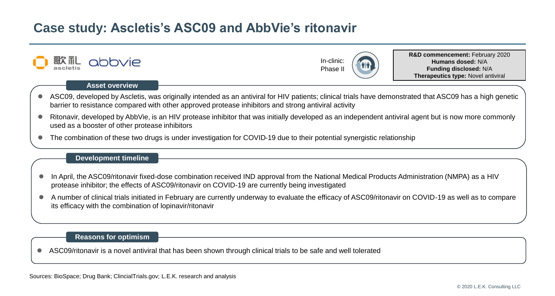## **Case study: Ascletis's ASC09 and AbbVie's ritonavir**



### **Asset overview**

- ASC09, developed by Ascletis, was originally intended as an antiviral for HIV patients; clinical trials have demonstrated that ASC09 has a high genetic barrier to resistance compared with other approved protease inhibitors and strong antiviral activity
- Ritonavir, developed by AbbVie, is an HIV protease inhibitor that was initially developed as an independent antiviral agent but is now more commonly used as a booster of other protease inhibitors
- The combination of these two drugs is under investigation for COVID-19 due to their potential synergistic relationship

#### **Development timeline**

- In April, the ASC09/ritonavir fixed-dose combination received IND approval from the National Medical Products Administration (NMPA) as a HIV protease inhibitor; the effects of ASC09/ritonavir on COVID-19 are currently being investigated
- A number of clinical trials initiated in February are currently underway to evaluate the efficacy of ASC09/ritonavir on COVID-19 as well as to compare its efficacy with the combination of lopinavir/ritonavir

#### **Reasons for optimism**

ASC09/ritonavir is a novel antiviral that has been shown through clinical trials to be safe and well tolerated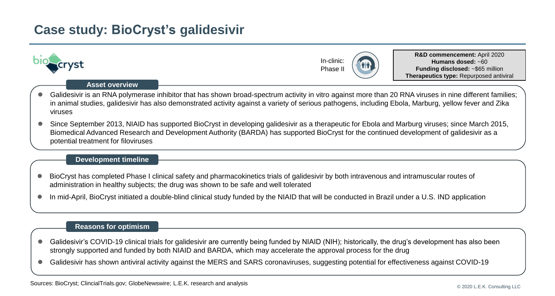## **Case study: BioCryst's galidesivir**



- BioCryst has completed Phase I clinical safety and pharmacokinetics trials of galidesivir by both intravenous and intramuscular routes of administration in healthy subjects; the drug was shown to be safe and well tolerated
- In mid-April, BioCryst initiated a double-blind clinical study funded by the NIAID that will be conducted in Brazil under a U.S. IND application

- Galidesivir's COVID-19 clinical trials for galidesivir are currently being funded by NIAID (NIH); historically, the drug's development has also been strongly supported and funded by both NIAID and BARDA, which may accelerate the approval process for the drug
- Galidesivir has shown antiviral activity against the MERS and SARS coronaviruses, suggesting potential for effectiveness against COVID-19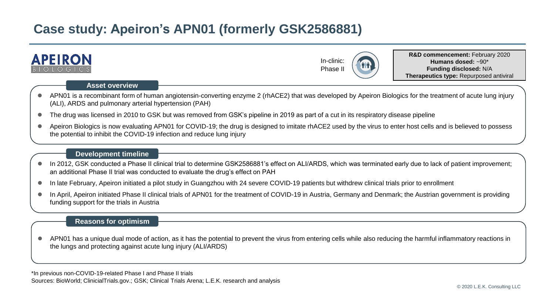# **Case study: Apeiron's APN01 (formerly GSK2586881)**



 In April, Apeiron initiated Phase II clinical trials of APN01 for the treatment of COVID-19 in Austria, Germany and Denmark; the Austrian government is providing funding support for the trials in Austria

## **Reasons for optimism**

 APN01 has a unique dual mode of action, as it has the potential to prevent the virus from entering cells while also reducing the harmful inflammatory reactions in the lungs and protecting against acute lung injury (ALI/ARDS)

\*In previous non-COVID-19-related Phase I and Phase II trials Sources: BioWorld; ClinicialTrials.gov.; GSK; Clinical Trials Arena; L.E.K. research and analysis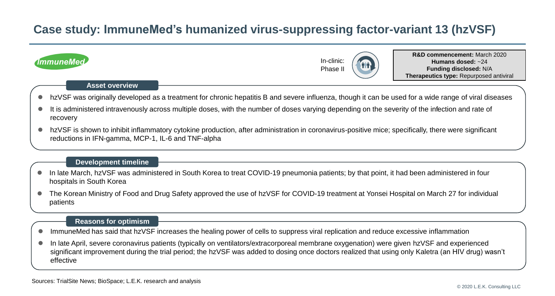## **Case study: ImmuneMed's humanized virus-suppressing factor-variant 13 (hzVSF)**

| <b>ImmuneMed</b>                                                                                                                                                                                          | In-clinic:<br>Phase I                                                                                                                      |  | <b>R&amp;D commencement:</b> March 2020<br>Humans dosed: ~24<br>Funding disclosed: N/A<br>Therapeutics type: Repurposed antiviral |  |  |  |  |
|-----------------------------------------------------------------------------------------------------------------------------------------------------------------------------------------------------------|--------------------------------------------------------------------------------------------------------------------------------------------|--|-----------------------------------------------------------------------------------------------------------------------------------|--|--|--|--|
| <b>Asset overview</b>                                                                                                                                                                                     |                                                                                                                                            |  |                                                                                                                                   |  |  |  |  |
| hzVSF was originally developed as a treatment for chronic hepatitis B and severe influenza, though it can be used for a wide range of viral diseases<br>$\bullet$                                         |                                                                                                                                            |  |                                                                                                                                   |  |  |  |  |
| It is administered intravenously across multiple doses, with the number of doses varying depending on the severity of the infection and rate of<br>recovery                                               |                                                                                                                                            |  |                                                                                                                                   |  |  |  |  |
| hzVSF is shown to inhibit inflammatory cytokine production, after administration in coronavirus-positive mice; specifically, there were significant<br>reductions in IFN-gamma, MCP-1, IL-6 and TNF-alpha |                                                                                                                                            |  |                                                                                                                                   |  |  |  |  |
| <b>Development timeline</b>                                                                                                                                                                               |                                                                                                                                            |  |                                                                                                                                   |  |  |  |  |
| In late March, hzVSF was administered in South Korea to treat COVID-19 pneumonia patients; by that point, it had been administered in four<br>$\bullet$<br>hospitals in South Korea                       |                                                                                                                                            |  |                                                                                                                                   |  |  |  |  |
| patients                                                                                                                                                                                                  | The Korean Ministry of Food and Drug Safety approved the use of hzVSF for COVID-19 treatment at Yonsei Hospital on March 27 for individual |  |                                                                                                                                   |  |  |  |  |
| <b>Reasons for optimism</b>                                                                                                                                                                               |                                                                                                                                            |  |                                                                                                                                   |  |  |  |  |

- ImmuneMed has said that hzVSF increases the healing power of cells to suppress viral replication and reduce excessive inflammation
- In late April, severe coronavirus patients (typically on ventilators/extracorporeal membrane oxygenation) were given hzVSF and experienced significant improvement during the trial period; the hzVSF was added to dosing once doctors realized that using only Kaletra (an HIV drug) wasn't effective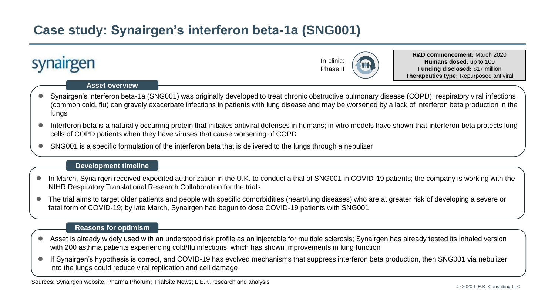# **Case study: Synairgen's interferon beta-1a (SNG001)**



SNG001 is a specific formulation of the interferon beta that is delivered to the lungs through a nebulizer

#### **Development timeline**

- In March, Synairgen received expedited authorization in the U.K. to conduct a trial of SNG001 in COVID-19 patients; the company is working with the NIHR Respiratory Translational Research Collaboration for the trials
- The trial aims to target older patients and people with specific comorbidities (heart/lung diseases) who are at greater risk of developing a severe or fatal form of COVID-19; by late March, Synairgen had begun to dose COVID-19 patients with SNG001

- Asset is already widely used with an understood risk profile as an injectable for multiple sclerosis; Synairgen has already tested its inhaled version with 200 asthma patients experiencing cold/flu infections, which has shown improvements in lung function
- If Synairgen's hypothesis is correct, and COVID-19 has evolved mechanisms that suppress interferon beta production, then SNG001 via nebulizer into the lungs could reduce viral replication and cell damage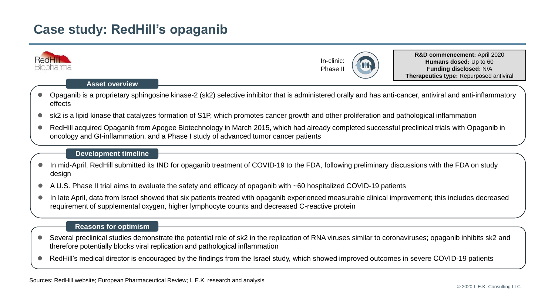## **Case study: RedHill's opaganib**

|                                                                                                                                                          | <b>RedHill</b><br>bharma<br><b>Asset overview</b>                                                                                                                                                                                                    |                                                                                                                                                           | In-clinic:<br>Phase I |  | R&D commencement: April 2020<br>Humans dosed: Up to 60<br>Funding disclosed: N/A<br>Therapeutics type: Repurposed antiviral |  |  |  |
|----------------------------------------------------------------------------------------------------------------------------------------------------------|------------------------------------------------------------------------------------------------------------------------------------------------------------------------------------------------------------------------------------------------------|-----------------------------------------------------------------------------------------------------------------------------------------------------------|-----------------------|--|-----------------------------------------------------------------------------------------------------------------------------|--|--|--|
|                                                                                                                                                          | effects                                                                                                                                                                                                                                              | Opaganib is a proprietary sphingosine kinase-2 (sk2) selective inhibitor that is administered orally and has anti-cancer, antiviral and anti-inflammatory |                       |  |                                                                                                                             |  |  |  |
|                                                                                                                                                          | sk2 is a lipid kinase that catalyzes formation of S1P, which promotes cancer growth and other proliferation and pathological inflammation                                                                                                            |                                                                                                                                                           |                       |  |                                                                                                                             |  |  |  |
|                                                                                                                                                          | RedHill acquired Opaganib from Apogee Biotechnology in March 2015, which had already completed successful preclinical trials with Opaganib in<br>oncology and GI-inflammation, and a Phase I study of advanced tumor cancer patients                 |                                                                                                                                                           |                       |  |                                                                                                                             |  |  |  |
|                                                                                                                                                          | <b>Development timeline</b>                                                                                                                                                                                                                          |                                                                                                                                                           |                       |  |                                                                                                                             |  |  |  |
| In mid-April, RedHill submitted its IND for opaganib treatment of COVID-19 to the FDA, following preliminary discussions with the FDA on study<br>design |                                                                                                                                                                                                                                                      |                                                                                                                                                           |                       |  |                                                                                                                             |  |  |  |
|                                                                                                                                                          | A U.S. Phase II trial aims to evaluate the safety and efficacy of opaganib with ~60 hospitalized COVID-19 patients                                                                                                                                   |                                                                                                                                                           |                       |  |                                                                                                                             |  |  |  |
|                                                                                                                                                          | In late April, data from Israel showed that six patients treated with opaganib experienced measurable clinical improvement; this includes decreased<br>requirement of supplemental oxygen, higher lymphocyte counts and decreased C-reactive protein |                                                                                                                                                           |                       |  |                                                                                                                             |  |  |  |
|                                                                                                                                                          | <b>Reasons for optimism</b>                                                                                                                                                                                                                          |                                                                                                                                                           |                       |  |                                                                                                                             |  |  |  |

- Several preclinical studies demonstrate the potential role of sk2 in the replication of RNA viruses similar to coronaviruses; opaganib inhibits sk2 and therefore potentially blocks viral replication and pathological inflammation
- RedHill's medical director is encouraged by the findings from the Israel study, which showed improved outcomes in severe COVID-19 patients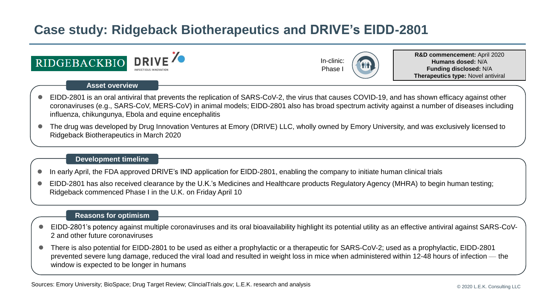# **Case study: Ridgeback Biotherapeutics and DRIVE's EIDD-2801**





**R&D commencement:** April 2020 **Humans dosed:** N/A **Funding disclosed:** N/A **Therapeutics type:** Novel antiviral

### **Asset overview**

- EIDD-2801 is an oral antiviral that prevents the replication of SARS-CoV-2, the virus that causes COVID-19, and has shown efficacy against other coronaviruses (e.g., SARS-CoV, MERS-CoV) in animal models; EIDD-2801 also has broad spectrum activity against a number of diseases including influenza, chikungunya, Ebola and equine encephalitis
- The drug was developed by Drug Innovation Ventures at Emory (DRIVE) LLC, wholly owned by Emory University, and was exclusively licensed to Ridgeback Biotherapeutics in March 2020

### **Development timeline**

- In early April, the FDA approved DRIVE's IND application for EIDD-2801, enabling the company to initiate human clinical trials
- EIDD-2801 has also received clearance by the U.K.'s Medicines and Healthcare products Regulatory Agency (MHRA) to begin human testing; Ridgeback commenced Phase I in the U.K. on Friday April 10

- EIDD-2801's potency against multiple coronaviruses and its oral bioavailability highlight its potential utility as an effective antiviral against SARS-CoV-2 and other future coronaviruses
- There is also potential for EIDD-2801 to be used as either a prophylactic or a therapeutic for SARS-CoV-2; used as a prophylactic, EIDD-2801 prevented severe lung damage, reduced the viral load and resulted in weight loss in mice when administered within 12-48 hours of infection — the window is expected to be longer in humans